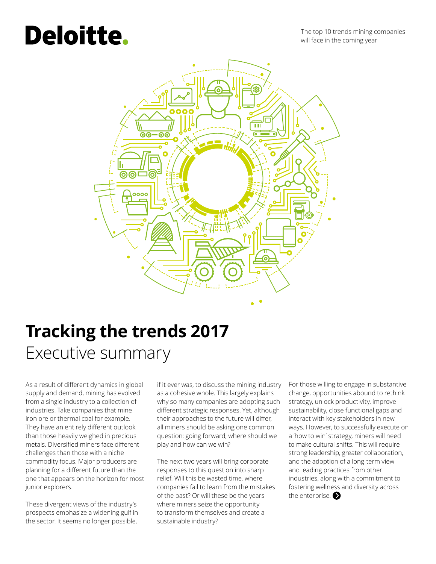# **Deloitte.**

The top 10 trends mining companies will face in the coming year



# **Tracking the trends 2017** Executive summary

As a result of different dynamics in global supply and demand, mining has evolved from a single industry to a collection of industries. Take companies that mine iron ore or thermal coal for example. They have an entirely different outlook than those heavily weighed in precious metals. Diversified miners face different challenges than those with a niche commodity focus. Major producers are planning for a different future than the one that appears on the horizon for most junior explorers.

These divergent views of the industry's prospects emphasize a widening gulf in the sector. It seems no longer possible,

if it ever was, to discuss the mining industry as a cohesive whole. This largely explains why so many companies are adopting such different strategic responses. Yet, although their approaches to the future will differ, all miners should be asking one common question: going forward, where should we play and how can we win?

The next two years will bring corporate responses to this question into sharp relief. Will this be wasted time, where companies fail to learn from the mistakes of the past? Or will these be the years where miners seize the opportunity to transform themselves and create a sustainable industry?

For those willing to engage in substantive change, opportunities abound to rethink strategy, unlock productivity, improve sustainability, close functional gaps and interact with key stakeholders in new ways. However, to successfully execute on a 'how to win' strategy, miners will need to make cultural shifts. This will require strong leadership, greater collaboration, and the adoption of a long-term view and leading practices from other industries, along with a commitment to fostering wellness and diversity across the enterprise.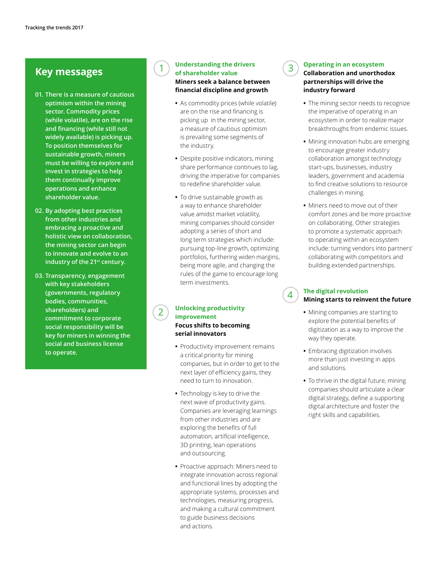### **Key messages**

- **01. There is a measure of cautious optimism within the mining sector. Commodity prices (while volatile), are on the rise and financing (while still not widely available) is picking up. To position themselves for sustainable growth, miners must be willing to explore and invest in strategies to help them continually improve operations and enhance shareholder value.**
- **02. By adopting best practices from other industries and embracing a proactive and holistic view on collaboration, the mining sector can begin to innovate and evolve to an industry of the 21st century.**
- **03. Transparency, engagement with key stakeholders (governments, regulatory bodies, communities, shareholders) and commitment to corporate social responsibility will be key for miners in winning the social and business license to operate.**

#### **Understanding the drivers of shareholder value Miners seek a balance between financial discipline and growth**

1

2

- **•** As commodity prices (while volatile) are on the rise and financing is picking up in the mining sector, a measure of cautious optimism is prevailing some segments of the industry.
- **•** Despite positive indicators, mining share performance continues to lag, driving the imperative for companies to redefine shareholder value.
- **•** To drive sustainable growth as a way to enhance shareholder value amidst market volatility, mining companies should consider adopting a series of short and long term strategies which include: pursuing top-line growth, optimizing portfolios, furthering widen margins, being more agile, and changing the rules of the game to encourage long term investments.

#### **Unlocking productivity improvement Focus shifts to becoming serial innovators**

- **•** Productivity improvement remains a critical priority for mining companies, but in order to get to the next layer of efficiency gains, they need to turn to innovation.
- **•** Technology is key to drive the next wave of productivity gains. Companies are leveraging learnings from other industries and are exploring the benefits of full automation, artificial intelligence, 3D printing, lean operations and outsourcing.
- **•** Proactive approach: Miners need to integrate innovation across regional and functional lines by adopting the appropriate systems, processes and technologies, measuring progress, and making a cultural commitment to guide business decisions and actions.

#### **Operating in an ecosystem**

3

4

#### **Collaboration and unorthodox partnerships will drive the industry forward**

- **•** The mining sector needs to recognize the imperative of operating in an ecosystem in order to realize major breakthroughs from endemic issues.
- **•** Mining innovation hubs are emerging to encourage greater industry collaboration amongst technology start-ups, businesses, industry leaders, government and academia to find creative solutions to resource challenges in mining.
- **•** Miners need to move out of their comfort zones and be more proactive on collaborating. Other strategies to promote a systematic approach to operating within an ecosystem include: turning vendors into partners' collaborating with competitors and building extended partnerships.

#### **The digital revolution Mining starts to reinvent the future**

- **•** Mining companies are starting to explore the potential benefits of digitization as a way to improve the way they operate.
- **•** Embracing digitization involves more than just investing in apps and solutions.
- **•** To thrive in the digital future, mining companies should articulate a clear digital strategy, define a supporting digital architecture and foster the right skills and capabilities.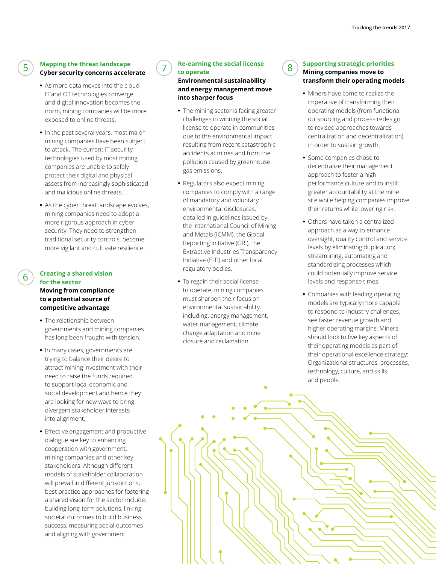#### **Mapping the threat landscape Cyber security concerns accelerate**

5

6

- **•** As more data moves into the cloud, IT and OT technologies converge and digital innovation becomes the norm, mining companies will be more exposed to online threats.
- **•** In the past several years, most major mining companies have been subject to attack. The current IT security technologies used by most mining companies are unable to safely protect their digital and physical assets from increasingly sophisticated and malicious online threats.
- **•** As the cyber threat landscape evolves, mining companies need to adopt a more rigorous approach in cyber security. They need to strengthen traditional security controls, become more vigilant and cultivate resilience.

#### **Creating a shared vision for the sector Moving from compliance to a potential source of competitive advantage**

- **•** The relationship between governments and mining companies has long been fraught with tension.
- **•** In many cases, governments are trying to balance their desire to attract mining investment with their need to raise the funds required to support local economic and social development and hence they are looking for new ways to bring divergent stakeholder interests into alignment.
- **•** Effective engagement and productive dialogue are key to enhancing cooperation with government, mining companies and other key stakeholders. Although different models of stakeholder collaboration will prevail in different jurisdictions, best practice approaches for fostering a shared vision for the sector include: building long-term solutions, linking societal outcomes to build business success, measuring social outcomes and aligning with government.

#### **Re-earning the social license**  $\begin{pmatrix} 8 \end{pmatrix}$ **to operate**

#### **Environmental sustainability and energy management move into sharper focus**

- **•** The mining sector is facing greater challenges in winning the social license to operate in communities due to the environmental impact resulting from recent catastrophic accidents at mines and from the pollution caused by greenhouse gas emissions.
- **•** Regulators also expect mining companies to comply with a range of mandatory and voluntary environmental disclosures, detailed in guidelines issued by the International Council of Mining and Metals (ICMM), the Global Reporting Initiative (GRI), the Extractive Industries Transparency Initiative (EITI) and other local regulatory bodies.
- **•** To regain their social license to operate, mining companies must sharpen their focus on environmental sustainability, including: energy management, water management, climate change adaptation and mine closure and reclamation.

#### **Supporting strategic priorities Mining companies move to transform their operating models**

- **•** Miners have come to realize the imperative of transforming their operating models (from functional outsourcing and process redesign to revised approaches towards centralization and decentralization) in order to sustain growth.
- **•** Some companies chose to decentralize their management approach to foster a high performance culture and to instill greater accountability at the mine site while helping companies improve their returns while lowering risk.
- **•** Others have taken a centralized approach as a way to enhance oversight, quality control and service levels by eliminating duplication; streamlining, automating and standardizing processes which could potentially improve service levels and response times.
- **•** Companies with leading operating models are typically more capable to respond to industry challenges, see faster revenue growth and higher operating margins. Miners should look to five key aspects of their operating models as part of their operational excellence strategy: Organizational structures, processes, technology, culture, and skills and people.